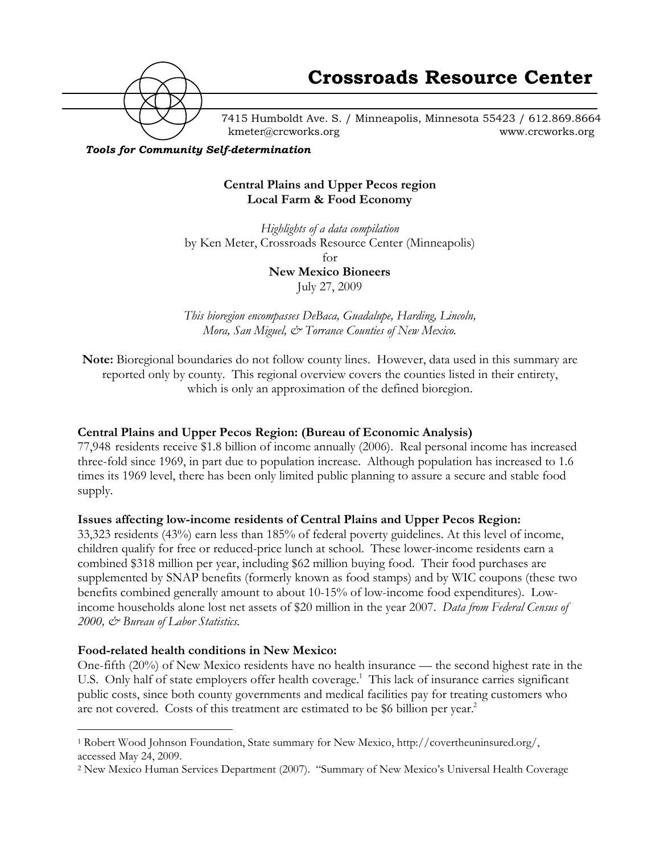

7415 Humboldt Ave. S. / Minneapolis, Minnesota 55423 / 612.869.8664 kmeter@crcworks.org www.crcworks.org

*Tools for Community Self-determination*

### **Central Plains and Upper Pecos region Local Farm & Food Economy**

*Highlights of a data compilation* by Ken Meter, Crossroads Resource Center (Minneapolis) for

**New Mexico Bioneers** July 27, 2009

*This bioregion encompasses DeBaca, Guadalupe, Harding, Lincoln, Mora, San Miguel, & Torrance Counties of New Mexico.*

**Note:** Bioregional boundaries do not follow county lines. However, data used in this summary are reported only by county. This regional overview covers the counties listed in their entirety, which is only an approximation of the defined bioregion.

### **Central Plains and Upper Pecos Region: (Bureau of Economic Analysis)**

77,948 residents receive \$1.8 billion of income annually (2006). Real personal income has increased three-fold since 1969, in part due to population increase. Although population has increased to 1.6 times its 1969 level, there has been only limited public planning to assure a secure and stable food supply.

### **Issues affecting low-income residents of Central Plains and Upper Pecos Region:**

33,323 residents (43%) earn less than 185% of federal poverty guidelines. At this level of income, children qualify for free or reduced-price lunch at school. These lower-income residents earn a combined \$318 million per year, including \$62 million buying food. Their food purchases are supplemented by SNAP benefits (formerly known as food stamps) and by WIC coupons (these two benefits combined generally amount to about 10-15% of low-income food expenditures). Lowincome households alone lost net assets of \$20 million in the year 2007. *Data from Federal Census of 2000, & Bureau of Labor Statistics.*

### **Food-related health conditions in New Mexico:**

One-fifth (20%) of New Mexico residents have no health insurance — the second highest rate in the U.S. Only half of state employers offer health coverage.<sup>1</sup> This lack of insurance carries significant public costs, since both county governments and medical facilities pay for treating customers who are not covered. Costs of this treatment are estimated to be \$6 billion per year.<sup>2</sup>

 <sup>1</sup> Robert Wood Johnson Foundation, State summary for New Mexico, http://covertheuninsured.org/, accessed May 24, 2009.

<sup>2</sup> New Mexico Human Services Department (2007). "Summary of New Mexico's Universal Health Coverage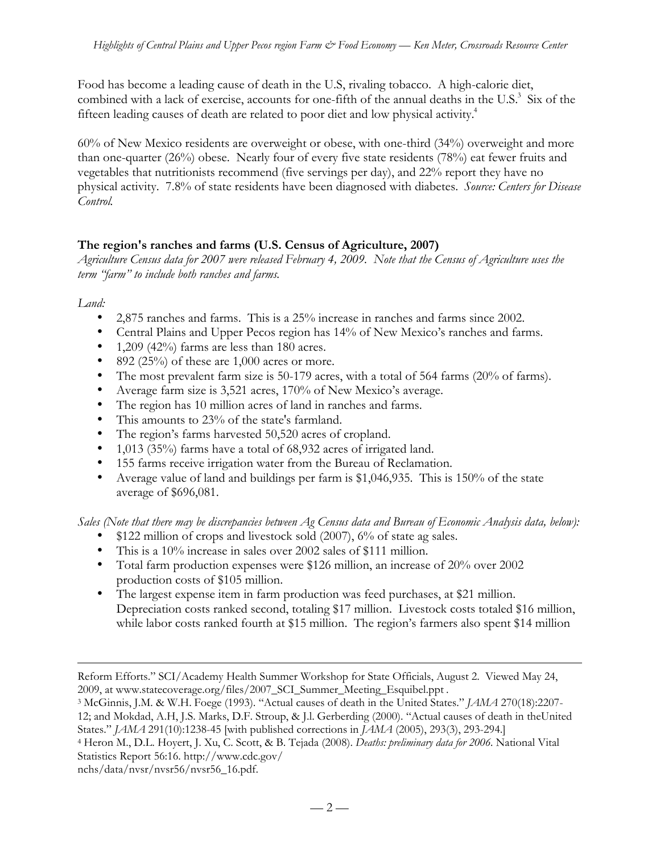Food has become a leading cause of death in the U.S, rivaling tobacco. A high-calorie diet, combined with a lack of exercise, accounts for one-fifth of the annual deaths in the U.S.<sup>3</sup> Six of the fifteen leading causes of death are related to poor diet and low physical activity.4

60% of New Mexico residents are overweight or obese, with one-third (34%) overweight and more than one-quarter (26%) obese. Nearly four of every five state residents (78%) eat fewer fruits and vegetables that nutritionists recommend (five servings per day), and 22% report they have no physical activity. 7.8% of state residents have been diagnosed with diabetes. *Source: Centers for Disease Control.*

### **The region's ranches and farms (U.S. Census of Agriculture, 2007)**

*Agriculture Census data for 2007 were released February 4, 2009. Note that the Census of Agriculture uses the term "farm" to include both ranches and farms.*

*Land:*

 $\overline{a}$ 

2,875 ranches and farms. This is a 25% increase in ranches and farms since 2002. Central Plains and Upper Pecos region has 14% of New Mexico's ranches and farms. 1,209 (42%) farms are less than 180 acres. 892 (25%) of these are 1,000 acres or more. The most prevalent farm size is 50-179 acres, with a total of 564 farms (20% of farms). Average farm size is 3,521 acres, 170% of New Mexico's average. The region has 10 million acres of land in ranches and farms. This amounts to 23% of the state's farmland. The region's farms harvested 50,520 acres of cropland. 1,013 (35%) farms have a total of 68,932 acres of irrigated land. 155 farms receive irrigation water from the Bureau of Reclamation. Average value of land and buildings per farm is \$1,046,935. This is 150% of the state average of \$696,081.

*Sales (Note that there may be discrepancies between Ag Census data and Bureau of Economic Analysis data, below):* \$122 million of crops and livestock sold (2007), 6% of state ag sales.

This is a 10% increase in sales over 2002 sales of \$111 million.

Total farm production expenses were \$126 million, an increase of 20% over 2002 production costs of \$105 million.

The largest expense item in farm production was feed purchases, at \$21 million.

Depreciation costs ranked second, totaling \$17 million. Livestock costs totaled \$16 million, while labor costs ranked fourth at \$15 million. The region's farmers also spent \$14 million

States." *JAMA* 291(10):1238-45 [with published corrections in *JAMA* (2005), 293(3), 293-294.]

nchs/data/nvsr/nvsr56/nvsr56\_16.pdf.

Reform Efforts." SCI/Academy Health Summer Workshop for State Officials, August 2. Viewed May 24, 2009, at www.statecoverage.org/files/2007\_SCI\_Summer\_Meeting\_Esquibel.ppt .

<sup>3</sup> McGinnis, J.M. & W.H. Foege (1993). "Actual causes of death in the United States." *JAMA* 270(18):2207- 12; and Mokdad, A.H, J.S. Marks, D.F. Stroup, & J.l. Gerberding (2000). "Actual causes of death in theUnited

<sup>4</sup> Heron M., D.L. Hoyert, J. Xu, C. Scott, & B. Tejada (2008). *Deaths: preliminary data for 2006.* National Vital Statistics Report 56:16. http://www.cdc.gov/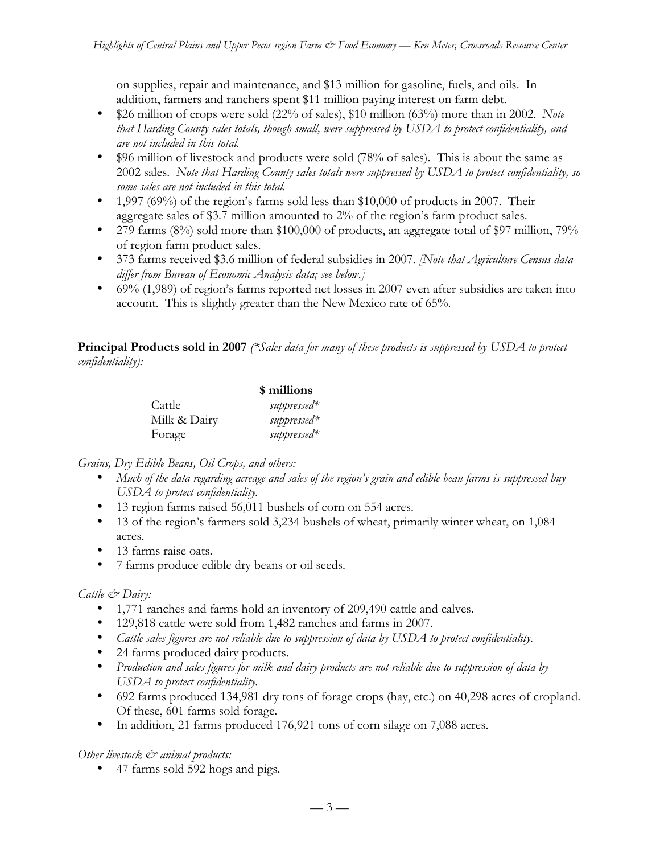on supplies, repair and maintenance, and \$13 million for gasoline, fuels, and oils. In addition, farmers and ranchers spent \$11 million paying interest on farm debt. \$26 million of crops were sold (22% of sales), \$10 million (63%) more than in 2002. *Note that Harding County sales totals, though small, were suppressed by USDA to protect confidentiality, and are not included in this total.*

\$96 million of livestock and products were sold (78% of sales). This is about the same as 2002 sales. *Note that Harding County sales totals were suppressed by USDA to protect confidentiality, so some sales are not included in this total.*

1,997 (69%) of the region's farms sold less than \$10,000 of products in 2007. Their aggregate sales of \$3.7 million amounted to 2% of the region's farm product sales. 279 farms (8%) sold more than \$100,000 of products, an aggregate total of \$97 million, 79% of region farm product sales.

373 farms received \$3.6 million of federal subsidies in 2007. *[Note that Agriculture Census data differ from Bureau of Economic Analysis data; see below.]*

69% (1,989) of region's farms reported net losses in 2007 even after subsidies are taken into account. This is slightly greater than the New Mexico rate of 65%.

**Principal Products sold in 2007** *(\*Sales data for many of these products is suppressed by USDA to protect confidentiality):*

|              | \$ millions   |
|--------------|---------------|
| Cattle       | suppressed*   |
| Milk & Dairy | $suppressed*$ |
| Forage       | suppressed*   |

*Grains, Dry Edible Beans, Oil Crops, and others:*

*Much of the data regarding acreage and sales of the region's grain and edible bean farms is suppressed buy USDA to protect confidentiality.*

13 region farms raised 56,011 bushels of corn on 554 acres.

13 of the region's farmers sold 3,234 bushels of wheat, primarily winter wheat, on 1,084 acres.

13 farms raise oats.

7 farms produce edible dry beans or oil seeds.

#### *Cattle & Dairy:*

1,771 ranches and farms hold an inventory of 209,490 cattle and calves.

129,818 cattle were sold from 1,482 ranches and farms in 2007.

*Cattle sales figures are not reliable due to suppression of data by USDA to protect confidentiality.*

24 farms produced dairy products.

*Production and sales figures for milk and dairy products are not reliable due to suppression of data by USDA to protect confidentiality.*

692 farms produced 134,981 dry tons of forage crops (hay, etc.) on 40,298 acres of cropland. Of these, 601 farms sold forage.

In addition, 21 farms produced 176,921 tons of corn silage on 7,088 acres.

#### *Other livestock & animal products:*

47 farms sold 592 hogs and pigs.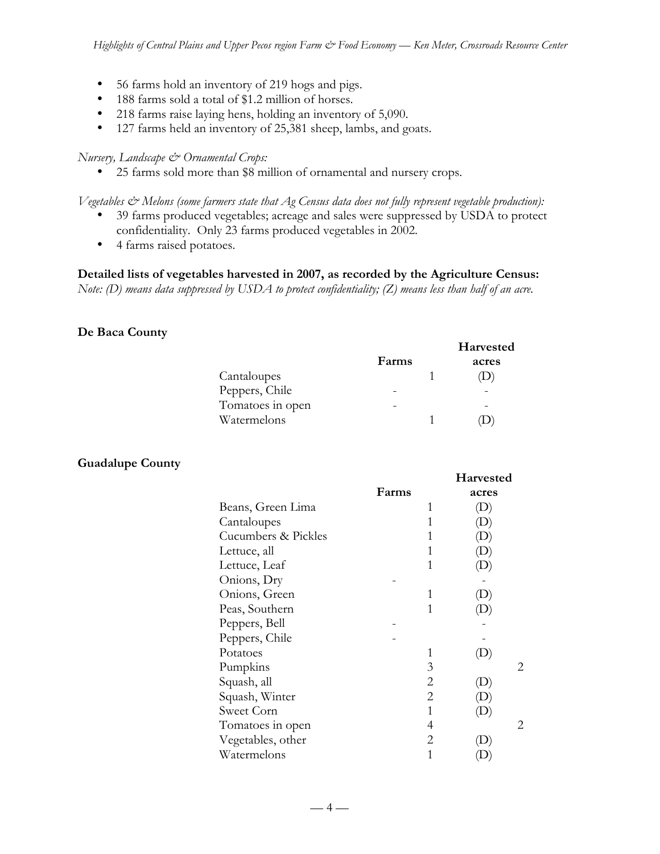56 farms hold an inventory of 219 hogs and pigs. 188 farms sold a total of \$1.2 million of horses. 218 farms raise laying hens, holding an inventory of 5,090. 127 farms held an inventory of 25,381 sheep, lambs, and goats.

#### *Nursery, Landscape & Ornamental Crops:*

25 farms sold more than \$8 million of ornamental and nursery crops.

*Vegetables & Melons (some farmers state that Ag Census data does not fully represent vegetable production):* 39 farms produced vegetables; acreage and sales were suppressed by USDA to protect confidentiality. Only 23 farms produced vegetables in 2002. 4 farms raised potatoes.

**Detailed lists of vegetables harvested in 2007, as recorded by the Agriculture Census:** *Note: (D) means data suppressed by USDA to protect confidentiality; (Z) means less than half of an acre.*

#### **De Baca County**

|                  |       | Harvested |
|------------------|-------|-----------|
|                  | Farms | acres     |
| Cantaloupes      |       |           |
| Peppers, Chile   |       |           |
| Tomatoes in open |       |           |
| Watermelons      |       |           |

**Harvested**

#### **Guadalupe County**

|                     | Farms |   | acres                      |
|---------------------|-------|---|----------------------------|
| Beans, Green Lima   |       | 1 | D)                         |
| Cantaloupes         |       | 1 |                            |
| Cucumbers & Pickles |       | 1 |                            |
| Lettuce, all        |       | 1 |                            |
| Lettuce, Leaf       |       | 1 |                            |
| Onions, Dry         |       |   |                            |
| Onions, Green       |       | 1 |                            |
| Peas, Southern      |       | 1 |                            |
| Peppers, Bell       |       |   |                            |
| Peppers, Chile      |       |   |                            |
| Potatoes            |       | 1 |                            |
| Pumpkins            |       | 3 | 2                          |
| Squash, all         |       | 2 | $\left( \mathrm{L}\right)$ |
| Squash, Winter      |       | 2 | D)                         |
| Sweet Corn          |       | 1 | (D)                        |
| Tomatoes in open    |       | 4 | 2                          |
| Vegetables, other   |       | 2 |                            |
| Watermelons         |       |   |                            |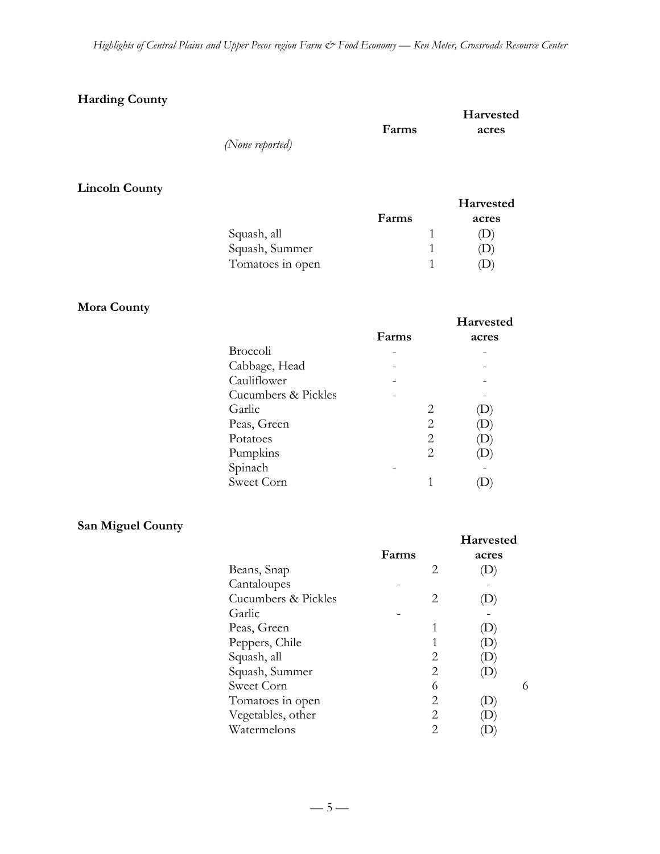### **Harding County**

|                 |       | Harvested |
|-----------------|-------|-----------|
|                 | Farms | acres     |
| (None reported) |       |           |
|                 |       |           |

# **Lincoln County**

|                  |       | <b>Harvested</b> |
|------------------|-------|------------------|
|                  | Farms | acres            |
| Squash, all      |       |                  |
| Squash, Summer   |       |                  |
| Tomatoes in open |       |                  |

#### **Mora County**

|                     |       | <b>Harvested</b>          |
|---------------------|-------|---------------------------|
|                     | Farms | acres                     |
| <b>Broccoli</b>     |       |                           |
| Cabbage, Head       |       |                           |
| Cauliflower         |       |                           |
| Cucumbers & Pickles |       |                           |
| Garlic              | 2     | $\left(\mathbf{D}\right)$ |
| Peas, Green         | 2     |                           |
| Potatoes            | 2     |                           |
| Pumpkins            | 2     |                           |
| Spinach             |       |                           |
| Sweet Corn          |       |                           |

## **San Miguel County**

|                     |       |   | <b>Harvested</b> |
|---------------------|-------|---|------------------|
|                     | Farms |   | acres            |
| Beans, Snap         |       | 2 |                  |
| Cantaloupes         |       |   |                  |
| Cucumbers & Pickles |       | 2 |                  |
| Garlic              |       |   |                  |
| Peas, Green         |       |   |                  |
| Peppers, Chile      |       |   |                  |
| Squash, all         |       | 2 | D                |
| Squash, Summer      |       | 2 | $\mathbf{D}$     |
| Sweet Corn          |       | 6 | 6                |
| Tomatoes in open    |       | 2 |                  |
| Vegetables, other   |       | 2 |                  |
| Watermelons         |       | 2 |                  |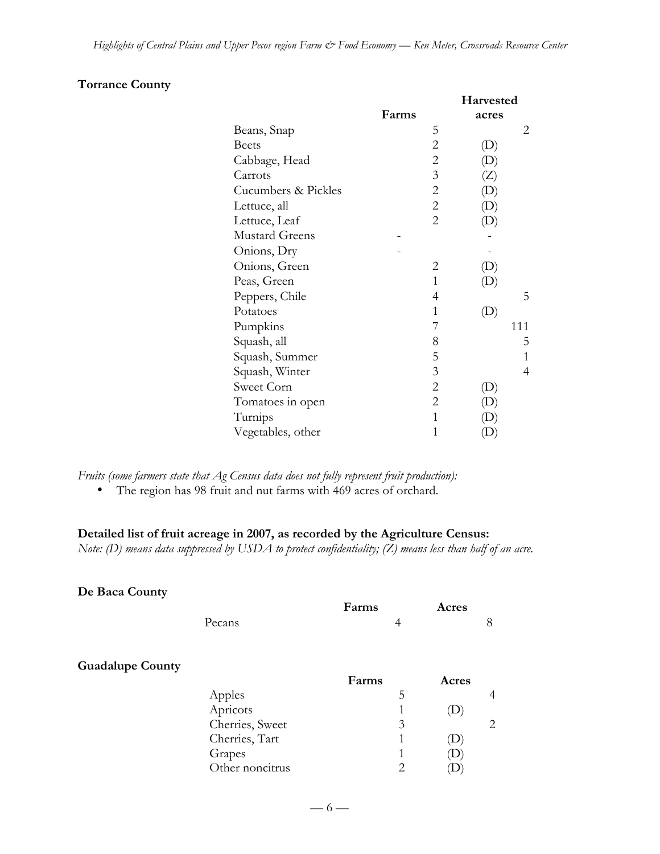### **Torrance County**

|                       |       |                | Harvested                  |     |
|-----------------------|-------|----------------|----------------------------|-----|
|                       | Farms |                | acres                      |     |
| Beans, Snap           |       | 5              |                            | 2   |
| <b>Beets</b>          |       | $\overline{c}$ | $\left( \mathrm{D}\right)$ |     |
| Cabbage, Head         |       | $\overline{c}$ |                            |     |
| Carrots               |       | $\mathfrak{Z}$ | (Z)                        |     |
| Cucumbers & Pickles   |       | $\overline{c}$ |                            |     |
| Lettuce, all          |       | $\overline{c}$ |                            |     |
| Lettuce, Leaf         |       | 2              |                            |     |
| <b>Mustard Greens</b> |       |                |                            |     |
| Onions, Dry           |       |                |                            |     |
| Onions, Green         |       | 2              |                            |     |
| Peas, Green           |       | 1              |                            |     |
| Peppers, Chile        |       | 4              |                            | 5   |
| Potatoes              |       | 1              | $\left( \mathrm{D}\right)$ |     |
| Pumpkins              |       | 7              |                            | 111 |
| Squash, all           |       | 8              |                            | 5   |
| Squash, Summer        |       | 5              |                            | 1   |
| Squash, Winter        |       | 3              |                            | 4   |
| Sweet Corn            |       | $\overline{c}$ | $\left( \mathrm{L}\right)$ |     |
| Tomatoes in open      |       | $\overline{2}$ |                            |     |
| Turnips               |       | 1              |                            |     |
| Vegetables, other     |       | 1              |                            |     |

*Fruits (some farmers state that Ag Census data does not fully represent fruit production):* The region has 98 fruit and nut farms with 469 acres of orchard.

#### **Detailed list of fruit acreage in 2007, as recorded by the Agriculture Census:**

*Note: (D) means data suppressed by USDA to protect confidentiality; (Z) means less than half of an acre.*

#### **De Baca County**

|                 | Farms                                       |                | Acres |                |
|-----------------|---------------------------------------------|----------------|-------|----------------|
| Pecans          |                                             | $\overline{4}$ |       | 8              |
|                 |                                             |                |       |                |
|                 |                                             |                | Acres |                |
| Apples          |                                             | 5              |       | $\overline{4}$ |
| Apricots        |                                             |                |       |                |
|                 |                                             | 3              |       | 2              |
|                 |                                             | 1              |       |                |
|                 |                                             |                |       |                |
| Other noncitrus |                                             | 2              |       |                |
|                 | Cherries, Sweet<br>Cherries, Tart<br>Grapes | Farms          |       |                |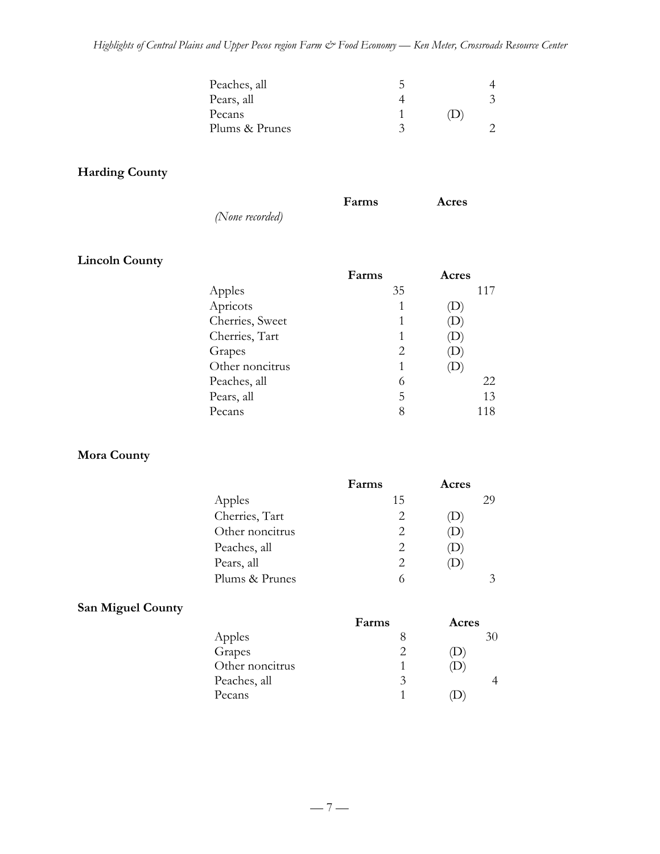| Peaches, all   |     |  |
|----------------|-----|--|
| Pears, all     |     |  |
| Pecans         | (1) |  |
| Plums & Prunes |     |  |

### **Harding County**

|                 | Farms | Acres |
|-----------------|-------|-------|
| (None recorded) |       |       |

### **Lincoln County**

|                 | Farms | Acres |
|-----------------|-------|-------|
| Apples          | 35    | 117   |
| Apricots        |       |       |
| Cherries, Sweet | 1     |       |
| Cherries, Tart  | 1     |       |
| Grapes          | 2     |       |
| Other noncitrus | 1     |       |
| Peaches, all    | 6     | 22    |
| Pears, all      | 5     | 13    |
| Pecans          | 8     | 118   |

### **Mora County**

|                 | Farms | Acres        |
|-----------------|-------|--------------|
| Apples          | 15    | 29           |
| Cherries, Tart  |       | D            |
| Other noncitrus | 2     | $\cup$       |
| Peaches, all    |       | $\mathbf{D}$ |
| Pears, all      |       |              |
| Plums & Prunes  |       |              |
|                 |       |              |

# **San Miguel County**

|                 | Farms | Acres |
|-----------------|-------|-------|
| Apples          |       |       |
| Grapes          |       |       |
| Other noncitrus |       |       |
| Peaches, all    | 3     |       |
| Pecans          |       |       |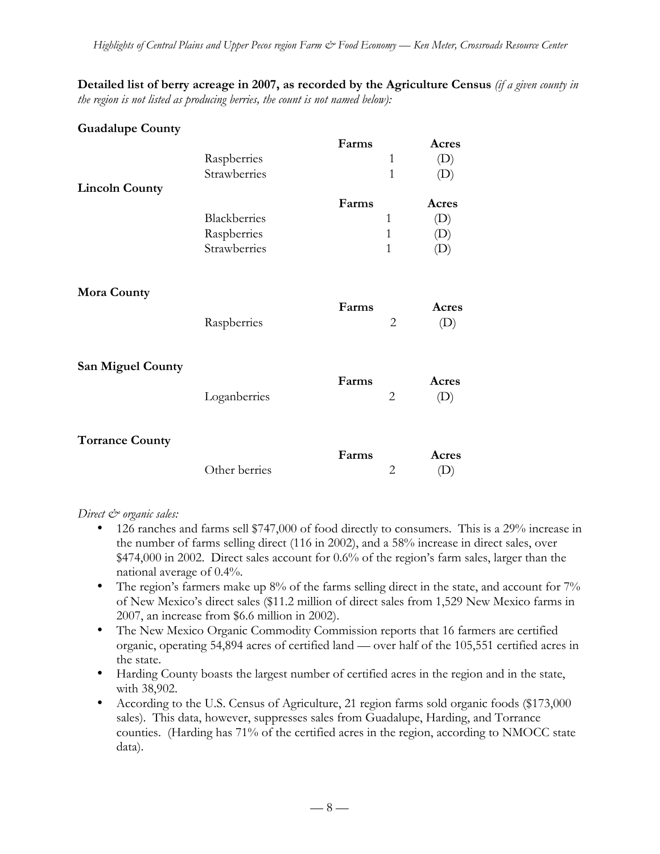**Detailed list of berry acreage in 2007, as recorded by the Agriculture Census** *(if a given county in the region is not listed as producing berries, the count is not named below):*

| <b>Guadalupe County</b>  |                                             | Farms                        | Acres                                                                                           |
|--------------------------|---------------------------------------------|------------------------------|-------------------------------------------------------------------------------------------------|
|                          | Raspberries<br>Strawberries                 | $\mathbf{1}$<br>$\mathbf{1}$ | (D)<br>(D)                                                                                      |
| <b>Lincoln County</b>    | Blackberries<br>Raspberries<br>Strawberries | Farms<br>1<br>1<br>1         | Acres<br>$\left( \mathrm{D}\right)$<br>$\left( \mathrm{D}\right)$<br>$\left( \mathrm{L}\right)$ |
| <b>Mora County</b>       | Raspberries                                 | Farms<br>$\overline{2}$      | Acres<br>(D)                                                                                    |
| <b>San Miguel County</b> | Loganberries                                | Farms<br>$\overline{2}$      | Acres<br>(D)                                                                                    |
| <b>Torrance County</b>   | Other berries                               | Farms<br>$\overline{2}$      | Acres<br>(D)                                                                                    |

#### *Direct*  $\mathcal{Q}$  organic sales:

126 ranches and farms sell \$747,000 of food directly to consumers. This is a 29% increase in the number of farms selling direct (116 in 2002), and a 58% increase in direct sales, over \$474,000 in 2002. Direct sales account for 0.6% of the region's farm sales, larger than the national average of 0.4%.

The region's farmers make up 8% of the farms selling direct in the state, and account for 7% of New Mexico's direct sales (\$11.2 million of direct sales from 1,529 New Mexico farms in 2007, an increase from \$6.6 million in 2002).

The New Mexico Organic Commodity Commission reports that 16 farmers are certified organic, operating 54,894 acres of certified land — over half of the 105,551 certified acres in the state.

Harding County boasts the largest number of certified acres in the region and in the state, with 38,902.

According to the U.S. Census of Agriculture, 21 region farms sold organic foods (\$173,000 sales). This data, however, suppresses sales from Guadalupe, Harding, and Torrance counties. (Harding has 71% of the certified acres in the region, according to NMOCC state data).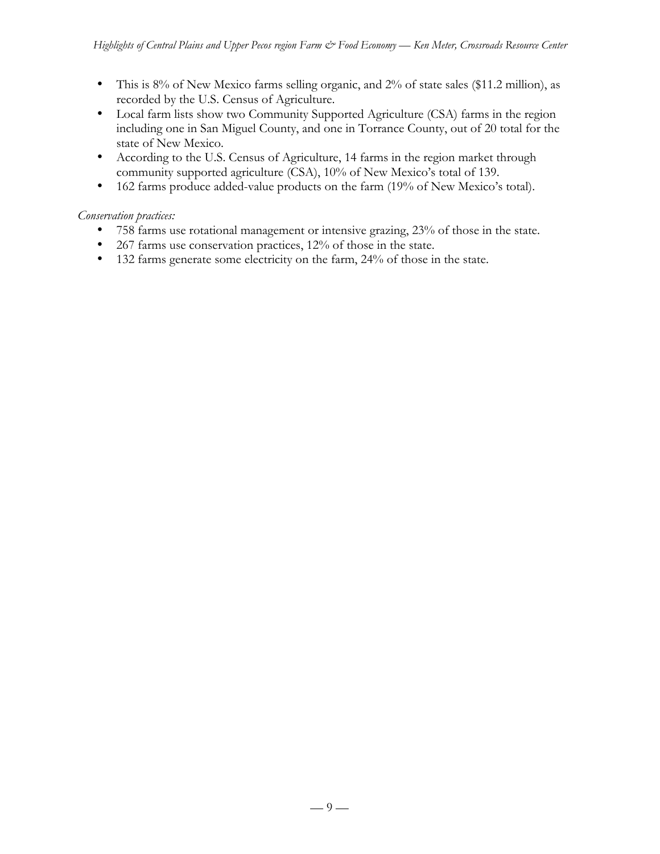This is 8% of New Mexico farms selling organic, and 2% of state sales (\$11.2 million), as recorded by the U.S. Census of Agriculture.

Local farm lists show two Community Supported Agriculture (CSA) farms in the region including one in San Miguel County, and one in Torrance County, out of 20 total for the state of New Mexico.

According to the U.S. Census of Agriculture, 14 farms in the region market through community supported agriculture (CSA), 10% of New Mexico's total of 139.

162 farms produce added-value products on the farm (19% of New Mexico's total).

#### *Conservation practices:*

758 farms use rotational management or intensive grazing, 23% of those in the state.

267 farms use conservation practices, 12% of those in the state.

132 farms generate some electricity on the farm, 24% of those in the state.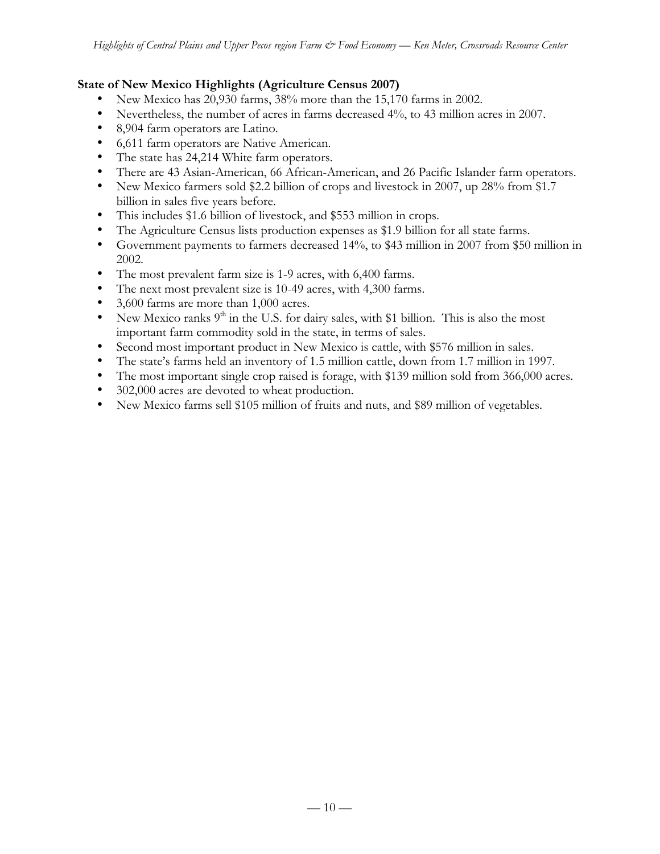#### **State of New Mexico Highlights (Agriculture Census 2007)**

New Mexico has 20,930 farms, 38% more than the 15,170 farms in 2002.

Nevertheless, the number of acres in farms decreased 4%, to 43 million acres in 2007.

8,904 farm operators are Latino.

6,611 farm operators are Native American.

The state has 24,214 White farm operators.

There are 43 Asian-American, 66 African-American, and 26 Pacific Islander farm operators. New Mexico farmers sold \$2.2 billion of crops and livestock in 2007, up 28% from \$1.7 billion in sales five years before.

This includes \$1.6 billion of livestock, and \$553 million in crops.

The Agriculture Census lists production expenses as \$1.9 billion for all state farms.

Government payments to farmers decreased 14%, to \$43 million in 2007 from \$50 million in 2002.

The most prevalent farm size is 1-9 acres, with 6,400 farms.

The next most prevalent size is 10-49 acres, with 4,300 farms.

3,600 farms are more than 1,000 acres.

New Mexico ranks  $9<sup>th</sup>$  in the U.S. for dairy sales, with \$1 billion. This is also the most important farm commodity sold in the state, in terms of sales.

Second most important product in New Mexico is cattle, with \$576 million in sales.

The state's farms held an inventory of 1.5 million cattle, down from 1.7 million in 1997.

The most important single crop raised is forage, with \$139 million sold from 366,000 acres. 302,000 acres are devoted to wheat production.

New Mexico farms sell \$105 million of fruits and nuts, and \$89 million of vegetables.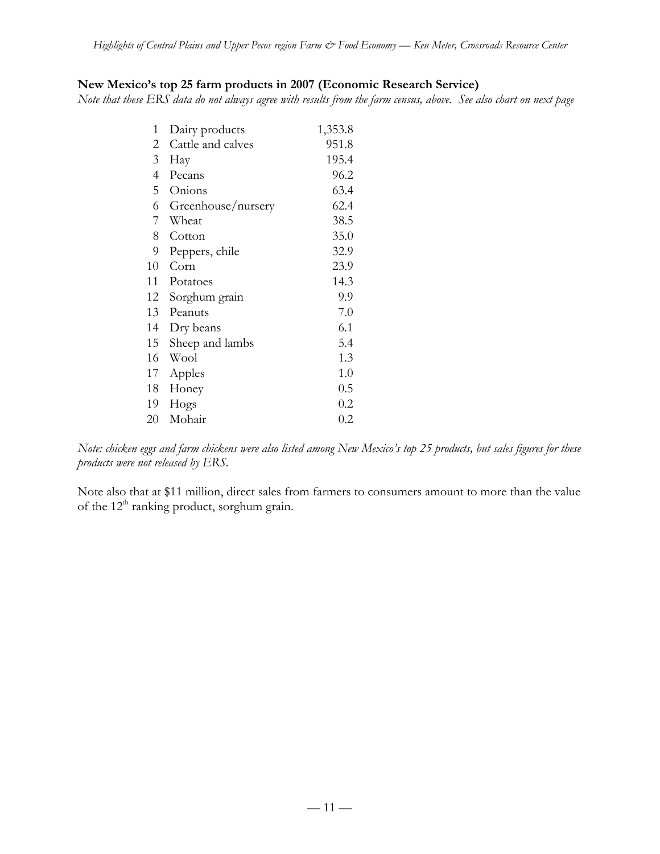### **New Mexico's top 25 farm products in 2007 (Economic Research Service)**

*Note that these ERS data do not always agree with results from the farm census, above. See also chart on next page*

| 1  | Dairy products     | 1,353.8 |
|----|--------------------|---------|
| 2  | Cattle and calves  | 951.8   |
| 3  | Hay                | 195.4   |
| 4  | Pecans             | 96.2    |
| 5  | Onions             | 63.4    |
| 6  | Greenhouse/nursery | 62.4    |
| 7  | Wheat              | 38.5    |
| 8  | Cotton             | 35.0    |
| 9  | Peppers, chile     | 32.9    |
| 10 | Corn               | 23.9    |
| 11 | Potatoes           | 14.3    |
| 12 | Sorghum grain      | 9.9     |
| 13 | Peanuts            | 7.0     |
| 14 | Dry beans          | 6.1     |
| 15 | Sheep and lambs    | 5.4     |
| 16 | Wool               | 1.3     |
| 17 | Apples             | 1.0     |
| 18 | Honey              | 0.5     |
| 19 | Hogs               | 0.2     |
| 20 | Mohair             | $0.2\,$ |

*Note: chicken eggs and farm chickens were also listed among New Mexico's top 25 products, but sales figures for these products were not released by ERS.*

Note also that at \$11 million, direct sales from farmers to consumers amount to more than the value of the 12<sup>th</sup> ranking product, sorghum grain.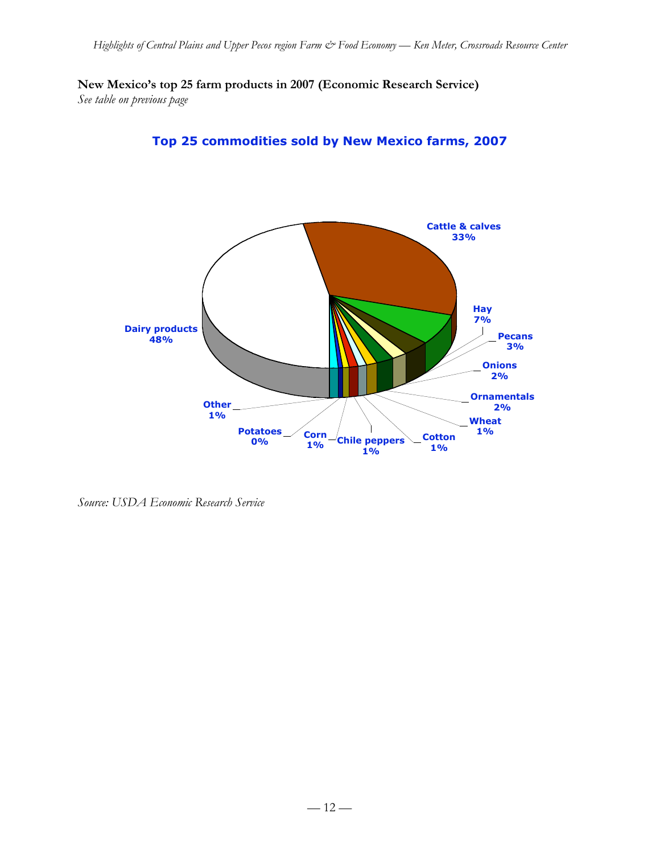**New Mexico's top 25 farm products in 2007 (Economic Research Service)** *See table on previous page*



**Top 25 commodities sold by New Mexico farms, 2007**

*Source: USDA Economic Research Service*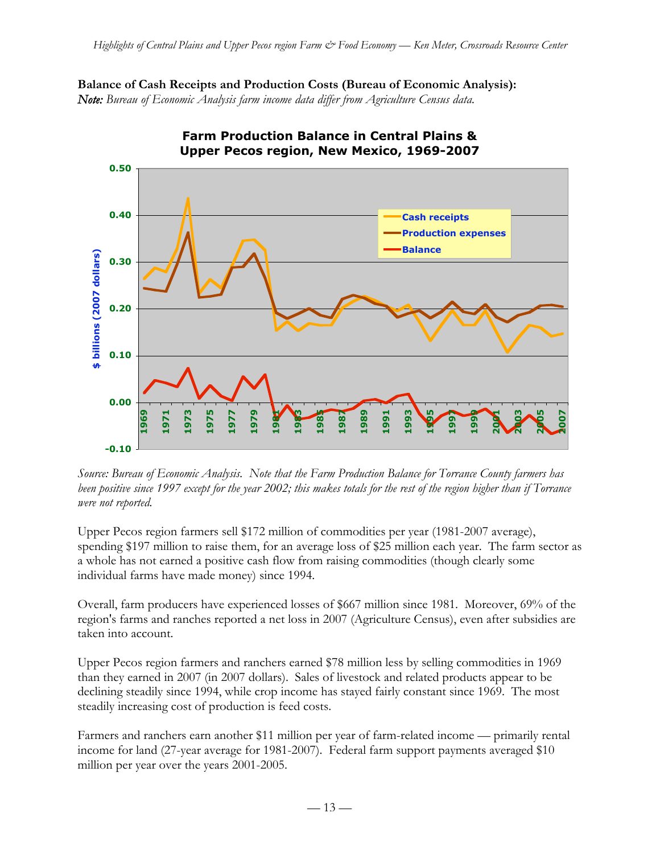



**Farm Production Balance in Central Plains &** 

*Source: Bureau of Economic Analysis. Note that the Farm Production Balance for Torrance County farmers has been positive since 1997 except for the year 2002; this makes totals for the rest of the region higher than if Torrance were not reported.*

Upper Pecos region farmers sell \$172 million of commodities per year (1981-2007 average), spending \$197 million to raise them, for an average loss of \$25 million each year. The farm sector as a whole has not earned a positive cash flow from raising commodities (though clearly some individual farms have made money) since 1994.

Overall, farm producers have experienced losses of \$667 million since 1981. Moreover, 69% of the region's farms and ranches reported a net loss in 2007 (Agriculture Census), even after subsidies are taken into account.

Upper Pecos region farmers and ranchers earned \$78 million less by selling commodities in 1969 than they earned in 2007 (in 2007 dollars). Sales of livestock and related products appear to be declining steadily since 1994, while crop income has stayed fairly constant since 1969. The most steadily increasing cost of production is feed costs.

Farmers and ranchers earn another \$11 million per year of farm-related income — primarily rental income for land (27-year average for 1981-2007). Federal farm support payments averaged \$10 million per year over the years 2001-2005.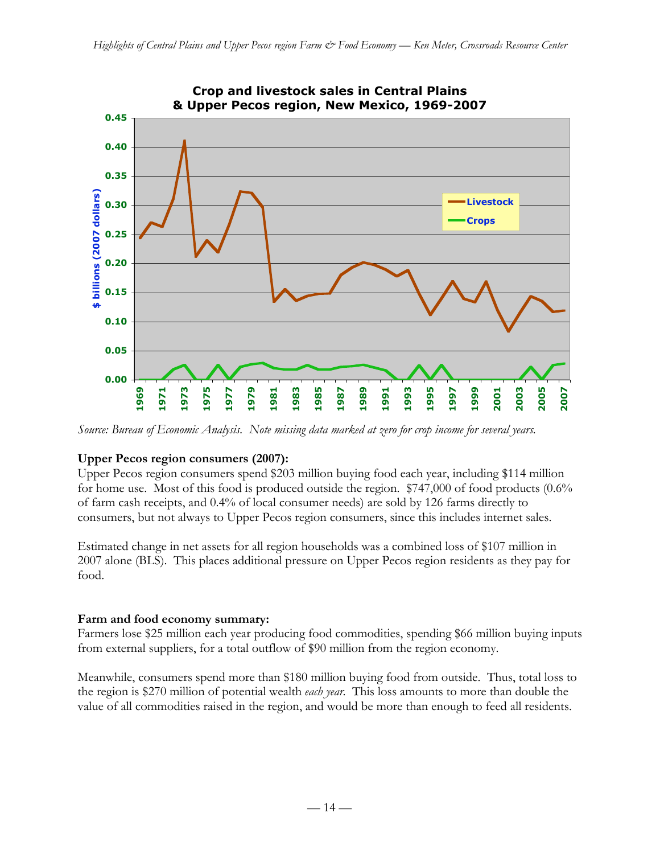

*Source: Bureau of Economic Analysis. Note missing data marked at zero for crop income for several years.*

### **Upper Pecos region consumers (2007):**

Upper Pecos region consumers spend \$203 million buying food each year, including \$114 million for home use. Most of this food is produced outside the region. \$747,000 of food products (0.6% of farm cash receipts, and 0.4% of local consumer needs) are sold by 126 farms directly to consumers, but not always to Upper Pecos region consumers, since this includes internet sales.

Estimated change in net assets for all region households was a combined loss of \$107 million in 2007 alone (BLS). This places additional pressure on Upper Pecos region residents as they pay for food.

#### **Farm and food economy summary:**

Farmers lose \$25 million each year producing food commodities, spending \$66 million buying inputs from external suppliers, for a total outflow of \$90 million from the region economy.

Meanwhile, consumers spend more than \$180 million buying food from outside. Thus, total loss to the region is \$270 million of potential wealth *each year*. This loss amounts to more than double the value of all commodities raised in the region, and would be more than enough to feed all residents.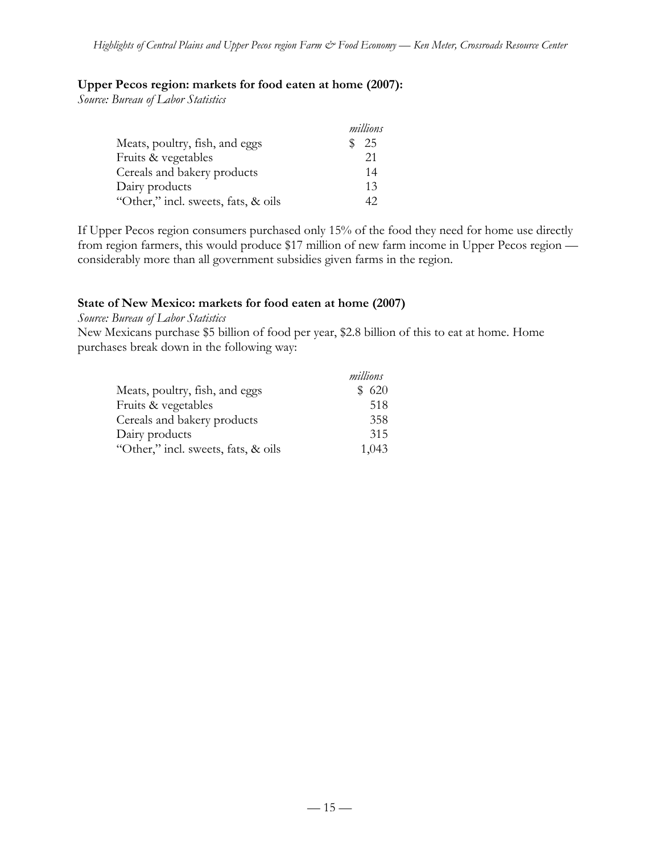#### **Upper Pecos region: markets for food eaten at home (2007):**

*Source: Bureau of Labor Statistics*

|                                     | millions |
|-------------------------------------|----------|
| Meats, poultry, fish, and eggs      | 25       |
| Fruits & vegetables                 | 21       |
| Cereals and bakery products         | 14       |
| Dairy products                      | 13       |
| "Other," incl. sweets, fats, & oils | 42       |

If Upper Pecos region consumers purchased only 15% of the food they need for home use directly from region farmers, this would produce \$17 million of new farm income in Upper Pecos region considerably more than all government subsidies given farms in the region.

#### **State of New Mexico: markets for food eaten at home (2007)**

*Source: Bureau of Labor Statistics*

New Mexicans purchase \$5 billion of food per year, \$2.8 billion of this to eat at home. Home purchases break down in the following way:

|                                     | millions |
|-------------------------------------|----------|
| Meats, poultry, fish, and eggs      | \$620    |
| Fruits & vegetables                 | 518      |
| Cereals and bakery products         | 358      |
| Dairy products                      | 315      |
| "Other," incl. sweets, fats, & oils | 1,043    |